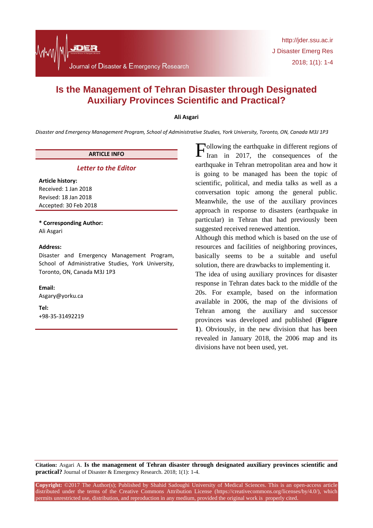# **Is the Management of Tehran Disaster through Designated Auxiliary Provinces Scientific and Practical?**

# **Ali Asgari**

*Disaster and Emergency Management Program, School of Administrative Studies, York University, Toronto, ON, Canada M3J 1P3*

# **ARTICLE INFO**

# *Letter to the Editor*

**Article history:** Received: 1 Jan 2018 Revised: 18 Jan 2018 Accepted: 30 Feb 2018

**\* Corresponding Author:** Ali Asgari

# **Address:**

Disaster and Emergency Management Program, School of Administrative Studies, York University, Toronto, ON, Canada M3J 1P3

# **Email:**

Asgary@yorku.ca

**Tel:** +98-35-31492219

ollowing the earthquake in different regions of Iran in 2017, the consequences of the earthquake in Tehran metropolitan area and how it is going to be managed has been the topic of scientific, political, and media talks as well as a conversation topic among the general public. Meanwhile, the use of the auxiliary provinces approach in response to disasters (earthquake in particular) in Tehran that had previously been suggested received renewed attention. F

Although this method which is based on the use of resources and facilities of neighboring provinces, basically seems to be a suitable and useful solution, there are drawbacks to implementing it.

The idea of using auxiliary provinces for disaster response in Tehran dates back to the middle of the 20s. For example, based on the information available in 2006, the map of the divisions of Tehran among the auxiliary and successor provinces was developed and published (**Figure 1**). Obviously, in the new division that has been revealed in January 2018, the 2006 map and its divisions have not been used, yet.

**Citation:** Asgari A. **Is the management of Tehran disaster through designated auxiliary provinces scientific and practical?** Journal of Disaster & Emergency Research. 2018; 1(1): 1-4.

**Copyright:** ©2017 The Author(s); Published by Shahid Sadoughi University of Medical Sciences. This is an open-access article distributed under the terms of the Creative Commons Attribution License (https://creativecommons.org/licenses/by/4.0/), which permits unrestricted use, distribution, and reproduction in any medium, provided the original work is properly cited.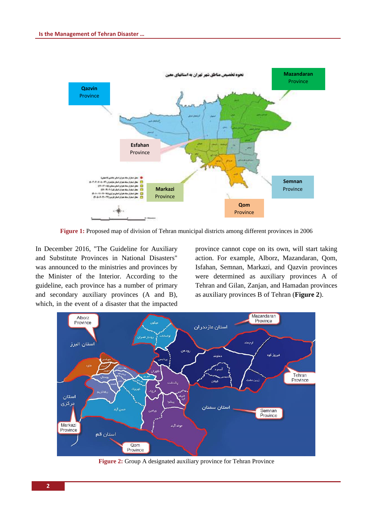

**Figure 1:** Proposed map of division of Tehran municipal districts among different provinces in 2006

In December 2016, "The Guideline for Auxiliary and Substitute Provinces in National Disasters" was announced to the ministries and provinces by the Minister of the Interior. According to the guideline, each province has a number of primary and secondary auxiliary provinces (A and B), which, in the event of a disaster that the impacted province cannot cope on its own, will start taking action. For example, Alborz, Mazandaran, Qom, Isfahan, Semnan, Markazi, and Qazvin provinces were determined as auxiliary provinces A of Tehran and Gilan, Zanjan, and Hamadan provinces as auxiliary provinces B of Tehran (**Figure 2**).



**Figure 2:** Group A designated auxiliary province for Tehran Province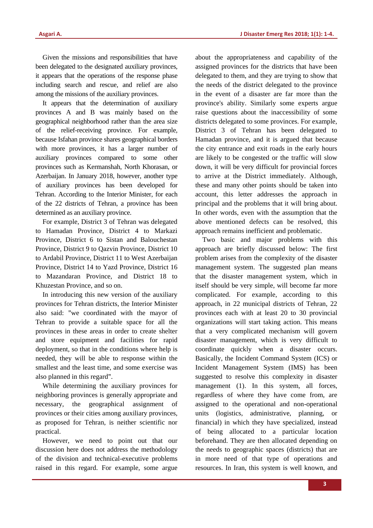Given the missions and responsibilities that have been delegated to the designated auxiliary provinces, it appears that the operations of the response phase including search and rescue, and relief are also among the missions of the auxiliary provinces.

It appears that the determination of auxiliary provinces A and B was mainly based on the geographical neighborhood rather than the area size of the relief-receiving province. For example, because Isfahan province shares geographical borders with more provinces, it has a larger number of auxiliary provinces compared to some other provinces such as Kermanshah, North Khorasan, or Azerbaijan. In January 2018, however, another type of auxiliary provinces has been developed for Tehran. According to the Interior Minister, for each of the 22 districts of Tehran, a province has been determined as an auxiliary province.

For example, District 3 of Tehran was delegated to Hamadan Province, District 4 to Markazi Province, District 6 to Sistan and Balouchestan Province, District 9 to Qazvin Province, District 10 to Ardabil Province, District 11 to West Azerbaijan Province, District 14 to Yazd Province, District 16 to Mazandaran Province, and District 18 to Khuzestan Province, and so on.

In introducing this new version of the auxiliary provinces for Tehran districts, the Interior Minister also said: "we coordinated with the mayor of Tehran to provide a suitable space for all the provinces in these areas in order to create shelter and store equipment and facilities for rapid deployment, so that in the conditions where help is needed, they will be able to response within the smallest and the least time, and some exercise was also planned in this regard".

While determining the auxiliary provinces for neighboring provinces is generally appropriate and necessary, the geographical assignment of provinces or their cities among auxiliary provinces, as proposed for Tehran, is neither scientific nor practical.

However, we need to point out that our discussion here does not address the methodology of the division and technical-executive problems raised in this regard. For example, some argue

about the appropriateness and capability of the assigned provinces for the districts that have been delegated to them, and they are trying to show that the needs of the district delegated to the province in the event of a disaster are far more than the province's ability. Similarly some experts argue raise questions about the inaccessibility of some districts delegated to some provinces. For example, District 3 of Tehran has been delegated to Hamadan province, and it is argued that because the city entrance and exit roads in the early hours are likely to be congested or the traffic will slow down, it will be very difficult for provincial forces to arrive at the District immediately. Although, these and many other points should be taken into account, this letter addresses the approach in principal and the problems that it will bring about. In other words, even with the assumption that the above mentioned defects can be resolved, this approach remains inefficient and problematic.

Two basic and major problems with this approach are briefly discussed below: The first problem arises from the complexity of the disaster management system. The suggested plan means that the disaster management system, which in itself should be very simple, will become far more complicated. For example, according to this approach, in 22 municipal districts of Tehran, 22 provinces each with at least 20 to 30 provincial organizations will start taking action. This means that a very complicated mechanism will govern disaster management, which is very difficult to coordinate quickly when a disaster occurs. Basically, the Incident Command System (ICS) or Incident Management System (IMS) has been suggested to resolve this complexity in disaster management (1). In this system, all forces, regardless of where they have come from, are assigned to the operational and non-operational units (logistics, administrative, planning, or financial) in which they have specialized, instead of being allocated to a particular location beforehand. They are then allocated depending on the needs to geographic spaces (districts) that are in more need of that type of operations and resources. In Iran, this system is well known, and